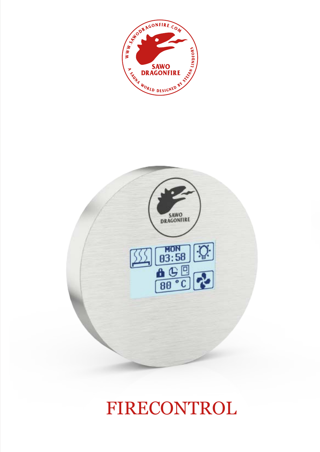



# FIRECONTROL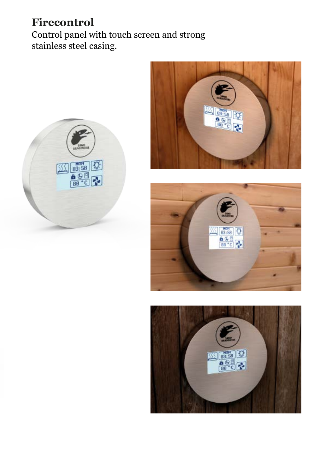### **Firecontrol**

Control panel with touch screen and strong stainless steel casing.







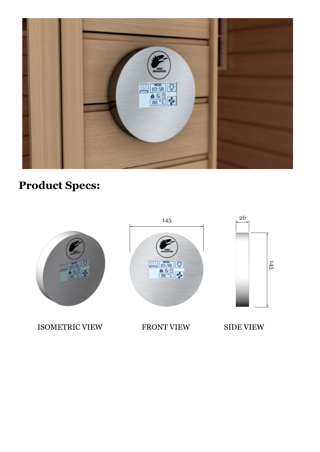



ISOMETRIC VIEW FRONT VIEW SIDE VIEW



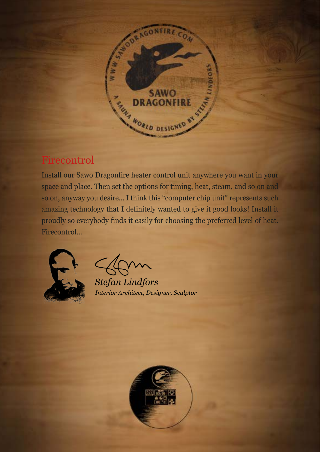

#### Firecontrol

Install our Sawo Dragonfire heater control unit anywhere you want in your space and place. Then set the options for timing, heat, steam, and so on and so on, anyway you desire… I think this "computer chip unit" represents such amazing technology that I definitely wanted to give it good looks! Install it proudly so everybody finds it easily for choosing the preferred level of heat. Firecontrol…



*Stefan Lindfors Interior Architect, Designer, Sculptor*

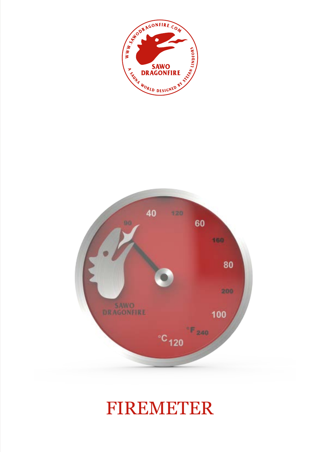



# FIREMETER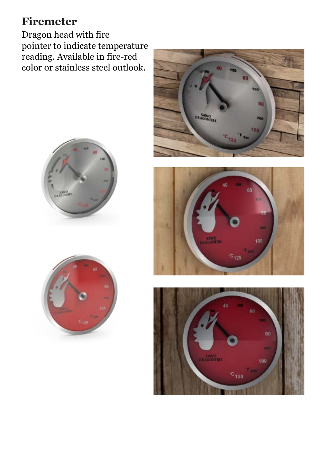### **Firemeter**

Dragon head with fire pointer to indicate temperature reading. Available in fire-red color or stainless steel outlook.









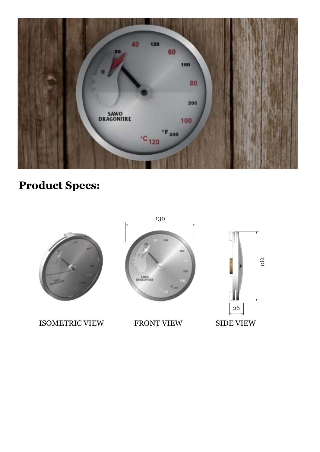



ISOMETRIC VIEW FRONT VIEW SIDE VIEW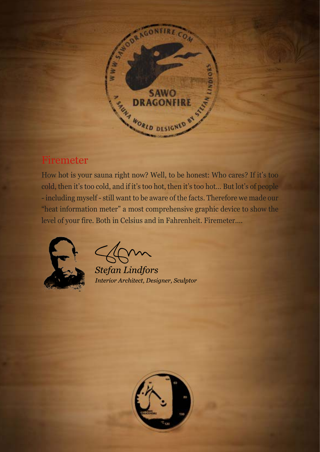

#### Firemeter

How hot is your sauna right now? Well, to be honest: Who cares? If it's too cold, then it's too cold, and if it's too hot, then it's too hot… But lot's of people - including myself - still want to be aware of the facts. Therefore we made our "heat information meter" a most comprehensive graphic device to show the level of your fire. Both in Celsius and in Fahrenheit. Firemeter….



**Stefan Lindfors** Interior Architect, Designer, Sculptor

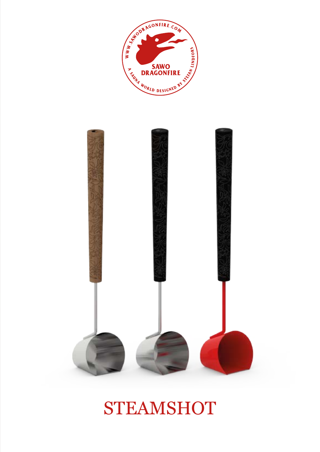



# **STEAMSHOT**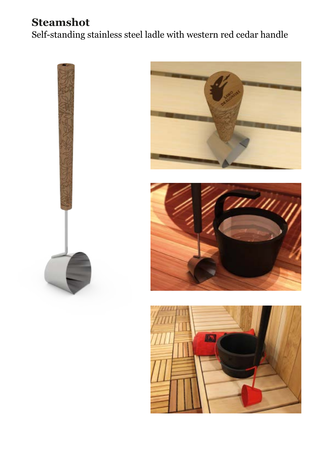### **Steamshot**

Self-standing stainless steel ladle with western red cedar handle







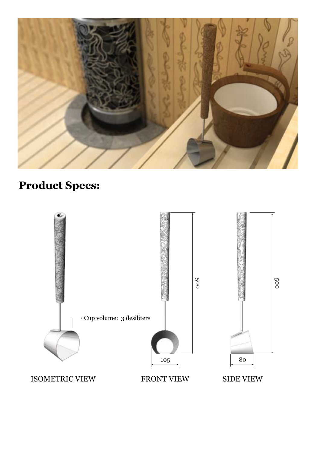

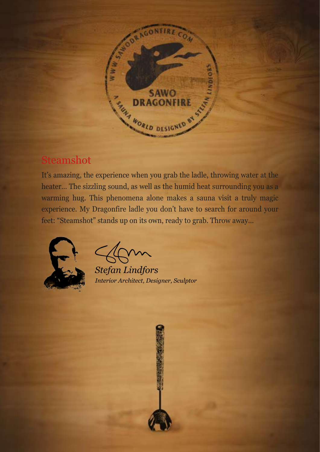

#### Steamshot

It's amazing, the experience when you grab the ladle, throwing water at the heater… The sizzling sound, as well as the humid heat surrounding you as a warming hug. This phenomena alone makes a sauna visit a truly magic experience. My Dragonfire ladle you don't have to search for around your feet: "Steamshot" stands up on its own, ready to grab. Throw away…



*Stefan Lindfors Interior Architect, Designer, Sculptor*

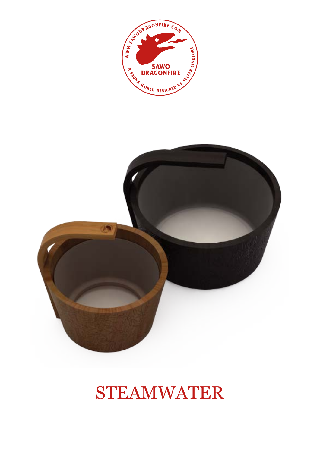



# STEAMWATER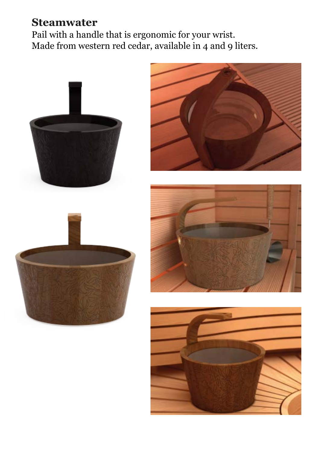### **Steamwater**

Pail with a handle that is ergonomic for your wrist. Made from western red cedar, available in 4 and 9 liters.



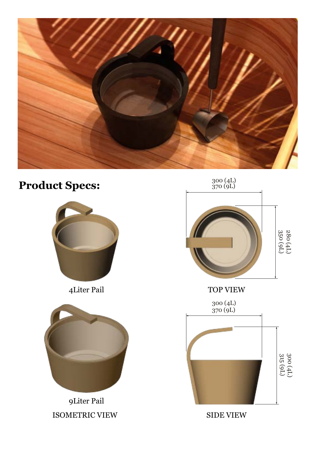





9Liter Pail ISOMETRIC VIEW SIDE VIEW